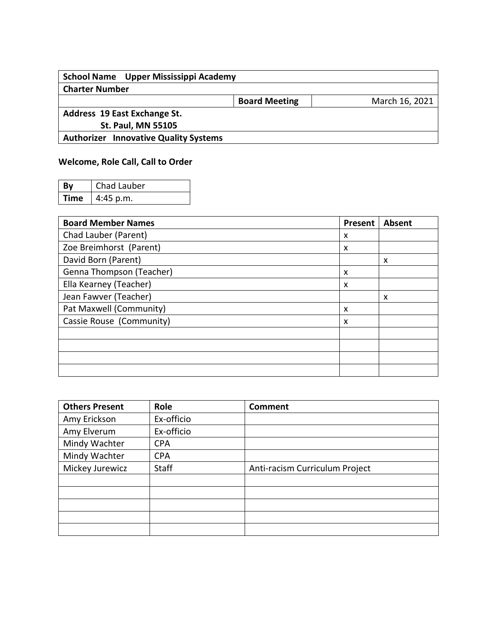| School Name Upper Mississippi Academy        |                      |                |  |  |
|----------------------------------------------|----------------------|----------------|--|--|
| <b>Charter Number</b>                        |                      |                |  |  |
|                                              | <b>Board Meeting</b> | March 16, 2021 |  |  |
| Address 19 East Exchange St.                 |                      |                |  |  |
| <b>St. Paul, MN 55105</b>                    |                      |                |  |  |
| <b>Authorizer Innovative Quality Systems</b> |                      |                |  |  |

## **Welcome, Role Call, Call to Order**

| By          | Chad Lauber |
|-------------|-------------|
| <b>Time</b> | $4:45$ p.m. |

| <b>Board Member Names</b> | Present | <b>Absent</b> |
|---------------------------|---------|---------------|
| Chad Lauber (Parent)      | X       |               |
| Zoe Breimhorst (Parent)   | X       |               |
| David Born (Parent)       |         | X             |
| Genna Thompson (Teacher)  | X       |               |
| Ella Kearney (Teacher)    | X       |               |
| Jean Fawver (Teacher)     |         | X             |
| Pat Maxwell (Community)   | X       |               |
| Cassie Rouse (Community)  | X       |               |
|                           |         |               |
|                           |         |               |
|                           |         |               |
|                           |         |               |

| <b>Others Present</b> | Role         | Comment                        |
|-----------------------|--------------|--------------------------------|
| Amy Erickson          | Ex-officio   |                                |
| Amy Elverum           | Ex-officio   |                                |
| Mindy Wachter         | <b>CPA</b>   |                                |
| Mindy Wachter         | <b>CPA</b>   |                                |
| Mickey Jurewicz       | <b>Staff</b> | Anti-racism Curriculum Project |
|                       |              |                                |
|                       |              |                                |
|                       |              |                                |
|                       |              |                                |
|                       |              |                                |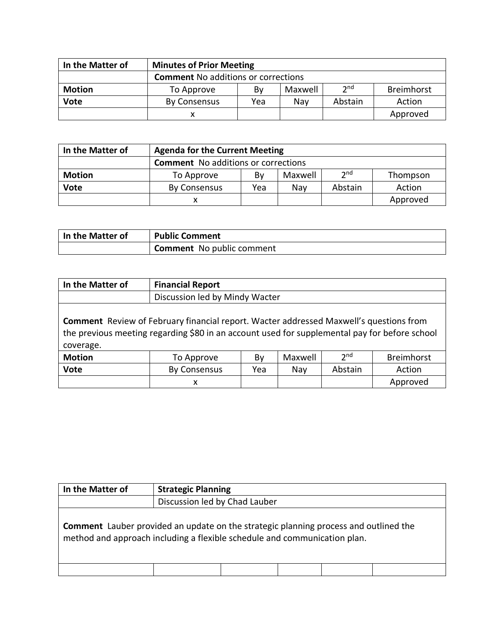| In the Matter of | <b>Minutes of Prior Meeting</b>                              |  |  |  |          |  |  |
|------------------|--------------------------------------------------------------|--|--|--|----------|--|--|
|                  | <b>Comment No additions or corrections</b>                   |  |  |  |          |  |  |
| <b>Motion</b>    | 2 <sub>nd</sub><br>Breimhorst<br>Maxwell<br>To Approve<br>By |  |  |  |          |  |  |
| Vote             | Abstain<br>Action<br>Nav<br><b>By Consensus</b><br>Yea       |  |  |  |          |  |  |
|                  |                                                              |  |  |  | Approved |  |  |

| In the Matter of | <b>Agenda for the Current Meeting</b>           |  |  |  |  |  |  |
|------------------|-------------------------------------------------|--|--|--|--|--|--|
|                  | <b>Comment</b> No additions or corrections      |  |  |  |  |  |  |
| <b>Motion</b>    | 2nd<br>Maxwell<br>Bv<br>To Approve<br>Thompson  |  |  |  |  |  |  |
| <b>Vote</b>      | Abstain<br>Yea<br>Action<br>By Consensus<br>Nav |  |  |  |  |  |  |
|                  | Approved<br>x                                   |  |  |  |  |  |  |

| In the Matter of | <b>Public Comment</b>     |
|------------------|---------------------------|
|                  | Comment No public comment |

| In the Matter of                                                                                                                                                                                            | <b>Financial Report</b>                                             |                                |  |  |          |  |  |
|-------------------------------------------------------------------------------------------------------------------------------------------------------------------------------------------------------------|---------------------------------------------------------------------|--------------------------------|--|--|----------|--|--|
|                                                                                                                                                                                                             |                                                                     | Discussion led by Mindy Wacter |  |  |          |  |  |
| <b>Comment</b> Review of February financial report. Wacter addressed Maxwell's questions from<br>the previous meeting regarding \$80 in an account used for supplemental pay for before school<br>coverage. |                                                                     |                                |  |  |          |  |  |
| <b>Motion</b>                                                                                                                                                                                               | 2 <sub>nd</sub><br><b>Breimhorst</b><br>Maxwell<br>By<br>To Approve |                                |  |  |          |  |  |
| <b>Vote</b>                                                                                                                                                                                                 | <b>By Consensus</b><br>Abstain<br>Action<br>Yea<br>Nay              |                                |  |  |          |  |  |
|                                                                                                                                                                                                             | х                                                                   |                                |  |  | Approved |  |  |

| In the Matter of                                                                                                                                                         | <b>Strategic Planning</b>     |  |  |  |  |  |
|--------------------------------------------------------------------------------------------------------------------------------------------------------------------------|-------------------------------|--|--|--|--|--|
|                                                                                                                                                                          | Discussion led by Chad Lauber |  |  |  |  |  |
| <b>Comment</b> Lauber provided an update on the strategic planning process and outlined the<br>method and approach including a flexible schedule and communication plan. |                               |  |  |  |  |  |
|                                                                                                                                                                          |                               |  |  |  |  |  |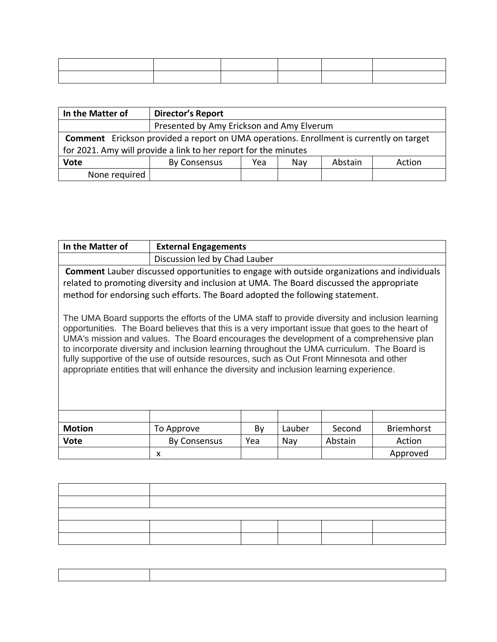| In the Matter of                                                                               | <b>Director's Report</b>                                        |                                           |  |  |  |  |
|------------------------------------------------------------------------------------------------|-----------------------------------------------------------------|-------------------------------------------|--|--|--|--|
|                                                                                                |                                                                 | Presented by Amy Erickson and Amy Elverum |  |  |  |  |
| <b>Comment</b> Erickson provided a report on UMA operations. Enrollment is currently on target |                                                                 |                                           |  |  |  |  |
|                                                                                                | for 2021. Amy will provide a link to her report for the minutes |                                           |  |  |  |  |
| <b>Vote</b>                                                                                    | Abstain<br>By Consensus<br>Action<br>Yea<br>Nay                 |                                           |  |  |  |  |
| None required                                                                                  |                                                                 |                                           |  |  |  |  |

| In the Matter of                                                                                                                                                                                                                                                                                                                                                                                                                                                                                                                                                                                                                                                                                                                                                                                                                                                     |                               | <b>External Engagements</b> |     |         |          |  |  |
|----------------------------------------------------------------------------------------------------------------------------------------------------------------------------------------------------------------------------------------------------------------------------------------------------------------------------------------------------------------------------------------------------------------------------------------------------------------------------------------------------------------------------------------------------------------------------------------------------------------------------------------------------------------------------------------------------------------------------------------------------------------------------------------------------------------------------------------------------------------------|-------------------------------|-----------------------------|-----|---------|----------|--|--|
|                                                                                                                                                                                                                                                                                                                                                                                                                                                                                                                                                                                                                                                                                                                                                                                                                                                                      | Discussion led by Chad Lauber |                             |     |         |          |  |  |
| <b>Comment</b> Lauber discussed opportunities to engage with outside organizations and individuals<br>related to promoting diversity and inclusion at UMA. The Board discussed the appropriate<br>method for endorsing such efforts. The Board adopted the following statement.<br>The UMA Board supports the efforts of the UMA staff to provide diversity and inclusion learning<br>opportunities. The Board believes that this is a very important issue that goes to the heart of<br>UMA's mission and values. The Board encourages the development of a comprehensive plan<br>to incorporate diversity and inclusion learning throughout the UMA curriculum. The Board is<br>fully supportive of the use of outside resources, such as Out Front Minnesota and other<br>appropriate entities that will enhance the diversity and inclusion learning experience. |                               |                             |     |         |          |  |  |
|                                                                                                                                                                                                                                                                                                                                                                                                                                                                                                                                                                                                                                                                                                                                                                                                                                                                      |                               |                             |     |         |          |  |  |
| <b>Motion</b><br><b>Briemhorst</b><br>Lauber<br>Second<br>By<br>To Approve                                                                                                                                                                                                                                                                                                                                                                                                                                                                                                                                                                                                                                                                                                                                                                                           |                               |                             |     |         |          |  |  |
| <b>Vote</b>                                                                                                                                                                                                                                                                                                                                                                                                                                                                                                                                                                                                                                                                                                                                                                                                                                                          | <b>By Consensus</b>           | Yea                         | Nay | Abstain | Action   |  |  |
|                                                                                                                                                                                                                                                                                                                                                                                                                                                                                                                                                                                                                                                                                                                                                                                                                                                                      | x                             |                             |     |         | Approved |  |  |